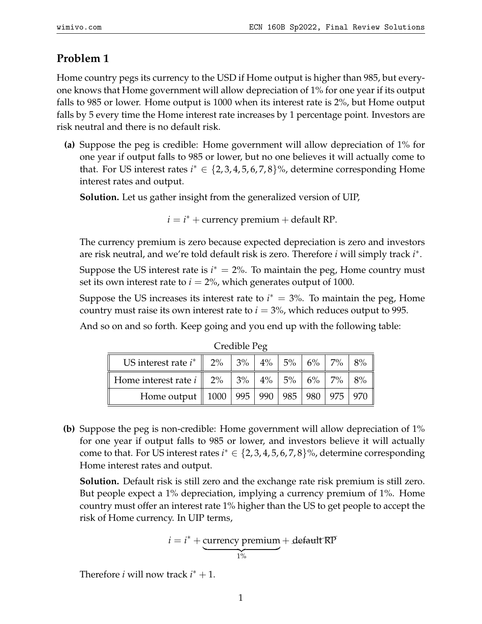## **Problem 1**

Home country pegs its currency to the USD if Home output is higher than 985, but everyone knows that Home government will allow depreciation of 1% for one year if its output falls to 985 or lower. Home output is 1000 when its interest rate is 2%, but Home output falls by 5 every time the Home interest rate increases by 1 percentage point. Investors are risk neutral and there is no default risk.

**(a)** Suppose the peg is credible: Home government will allow depreciation of 1% for one year if output falls to 985 or lower, but no one believes it will actually come to that. For US interest rates  $i^* \in \{2, 3, 4, 5, 6, 7, 8\}$ %, determine corresponding Home interest rates and output.

**Solution.** Let us gather insight from the generalized version of UIP,

 $i = i^* +$  currency premium  $+$  default RP.

The currency premium is zero because expected depreciation is zero and investors are risk neutral, and we're told default risk is zero. Therefore *i* will simply track *i* ∗ .

Suppose the US interest rate is  $i^* = 2\%$ . To maintain the peg, Home country must set its own interest rate to  $i = 2\%$ , which generates output of 1000.

Suppose the US increases its interest rate to  $i^* = 3\%$ . To maintain the peg, Home country must raise its own interest rate to  $i = 3\%$ , which reduces output to 995.

And so on and so forth. Keep going and you end up with the following table:

| US interest rate $i^*$   2%   3%   4%   5%   6%   7%   8%  |  |  |  |  |
|------------------------------------------------------------|--|--|--|--|
| Home interest rate $i$    2%   3%   4%   5%   6%   7%   8% |  |  |  |  |
| Home output   1000   995   990   985   980   975   970     |  |  |  |  |

Credible Peg

**(b)** Suppose the peg is non-credible: Home government will allow depreciation of 1% for one year if output falls to 985 or lower, and investors believe it will actually come to that. For US interest rates  $i^* \in \{2, 3, 4, 5, 6, 7, 8\}$ %, determine corresponding Home interest rates and output.

**Solution.** Default risk is still zero and the exchange rate risk premium is still zero. But people expect a 1% depreciation, implying a currency premium of 1%. Home country must offer an interest rate 1% higher than the US to get people to accept the risk of Home currency. In UIP terms,

$$
i = i^* + \underbrace{\text{currency premium}}_{1\%} + \text{default RP}
$$

Therefore *i* will now track  $i^* + 1$ .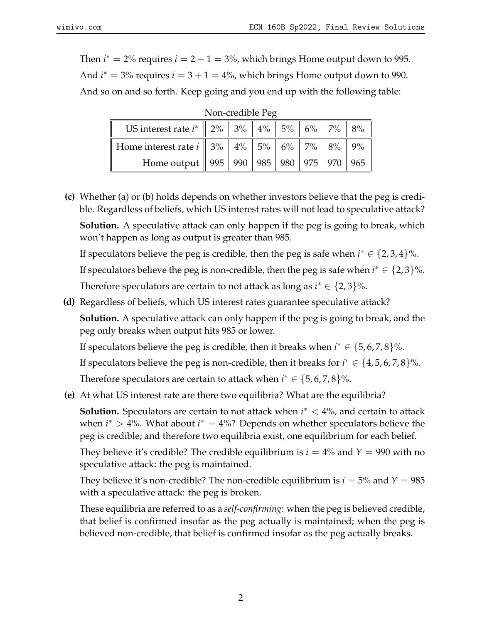Then  $i^* = 2\%$  requires  $i = 2 + 1 = 3\%$ , which brings Home output down to 995. And  $i^* = 3\%$  requires  $i = 3 + 1 = 4\%$ , which brings Home output down to 990. And so on and so forth. Keep going and you end up with the following table:

| US interest rate $i^*$   2%   3%   4%   5%   6%   7%   8%                                                                |  |  |  |  |  |  |
|--------------------------------------------------------------------------------------------------------------------------|--|--|--|--|--|--|
| Home interest rate $i \parallel 3\% \parallel 4\% \parallel 5\% \parallel 6\% \parallel 7\% \parallel 8\% \parallel 9\%$ |  |  |  |  |  |  |
| Home output    995    990    985    980    975    970    965                                                             |  |  |  |  |  |  |

Non-credible Peg

**(c)** Whether (a) or (b) holds depends on whether investors believe that the peg is credible. Regardless of beliefs, which US interest rates will not lead to speculative attack?

**Solution.** A speculative attack can only happen if the peg is going to break, which won't happen as long as output is greater than 985.

If speculators believe the peg is credible, then the peg is safe when  $i^* \in \{2, 3, 4\}$ %.

If speculators believe the peg is non-credible, then the peg is safe when  $i^* \in \{2,3\}$ %.

Therefore speculators are certain to not attack as long as  $i^* \in \{2,3\}$ %.

**(d)** Regardless of beliefs, which US interest rates guarantee speculative attack?

**Solution.** A speculative attack can only happen if the peg is going to break, and the peg only breaks when output hits 985 or lower.

If speculators believe the peg is credible, then it breaks when  $i^* \in \{5, 6, 7, 8\}$ %.

If speculators believe the peg is non-credible, then it breaks for  $i^* \in \{4, 5, 6, 7, 8\}$ %.

Therefore speculators are certain to attack when  $i^* \in \{5, 6, 7, 8\}$ %.

**(e)** At what US interest rate are there two equilibria? What are the equilibria?

**Solution.** Speculators are certain to not attack when  $i^*$  < 4%, and certain to attack when  $i^* > 4$ %. What about  $i^* = 4$ %? Depends on whether speculators believe the peg is credible; and therefore two equilibria exist, one equilibrium for each belief.

They believe it's credible? The credible equilibrium is  $i = 4\%$  and  $Y = 990$  with no speculative attack: the peg is maintained.

They believe it's non-credible? The non-credible equilibrium is  $i = 5\%$  and  $Y = 985$ with a speculative attack: the peg is broken.

These equilibria are referred to as a *self-confirming*: when the peg is believed credible, that belief is confirmed insofar as the peg actually is maintained; when the peg is believed non-credible, that belief is confirmed insofar as the peg actually breaks.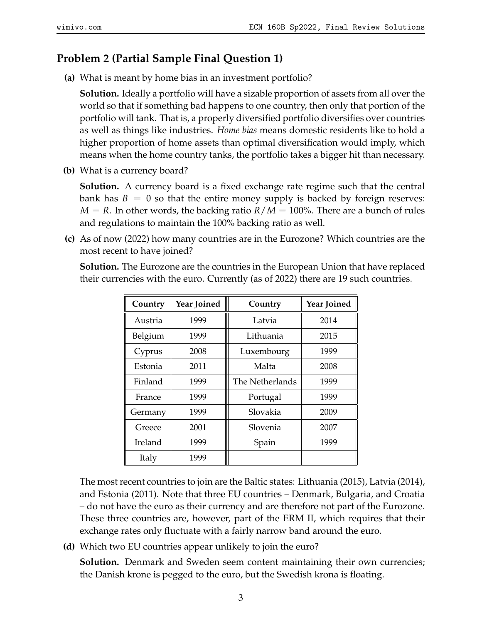## **Problem 2 (Partial Sample Final Question 1)**

**(a)** What is meant by home bias in an investment portfolio?

**Solution.** Ideally a portfolio will have a sizable proportion of assets from all over the world so that if something bad happens to one country, then only that portion of the portfolio will tank. That is, a properly diversified portfolio diversifies over countries as well as things like industries. *Home bias* means domestic residents like to hold a higher proportion of home assets than optimal diversification would imply, which means when the home country tanks, the portfolio takes a bigger hit than necessary.

**(b)** What is a currency board?

**Solution.** A currency board is a fixed exchange rate regime such that the central bank has  $B = 0$  so that the entire money supply is backed by foreign reserves:  $M = R$ . In other words, the backing ratio  $R/M = 100\%$ . There are a bunch of rules and regulations to maintain the 100% backing ratio as well.

**(c)** As of now (2022) how many countries are in the Eurozone? Which countries are the most recent to have joined?

**Solution.** The Eurozone are the countries in the European Union that have replaced their currencies with the euro. Currently (as of 2022) there are 19 such countries.

| Country | <b>Year Joined</b> | Country         | <b>Year Joined</b> |  |
|---------|--------------------|-----------------|--------------------|--|
| Austria | 1999               | Latvia          | 2014               |  |
| Belgium | 1999               | Lithuania       | 2015               |  |
| Cyprus  | 2008               | Luxembourg      | 1999               |  |
| Estonia | 2011               | Malta           | 2008               |  |
| Finland | 1999               | The Netherlands | 1999               |  |
| France  | 1999               | Portugal        | 1999               |  |
| Germany | 1999               | Slovakia        | 2009               |  |
| Greece  | 2001               | Slovenia        | 2007               |  |
| Ireland | 1999               | Spain           | 1999               |  |
| Italy   | 1999               |                 |                    |  |

The most recent countries to join are the Baltic states: Lithuania (2015), Latvia (2014), and Estonia (2011). Note that three EU countries – Denmark, Bulgaria, and Croatia – do not have the euro as their currency and are therefore not part of the Eurozone. These three countries are, however, part of the ERM II, which requires that their exchange rates only fluctuate with a fairly narrow band around the euro.

**(d)** Which two EU countries appear unlikely to join the euro?

**Solution.** Denmark and Sweden seem content maintaining their own currencies; the Danish krone is pegged to the euro, but the Swedish krona is floating.